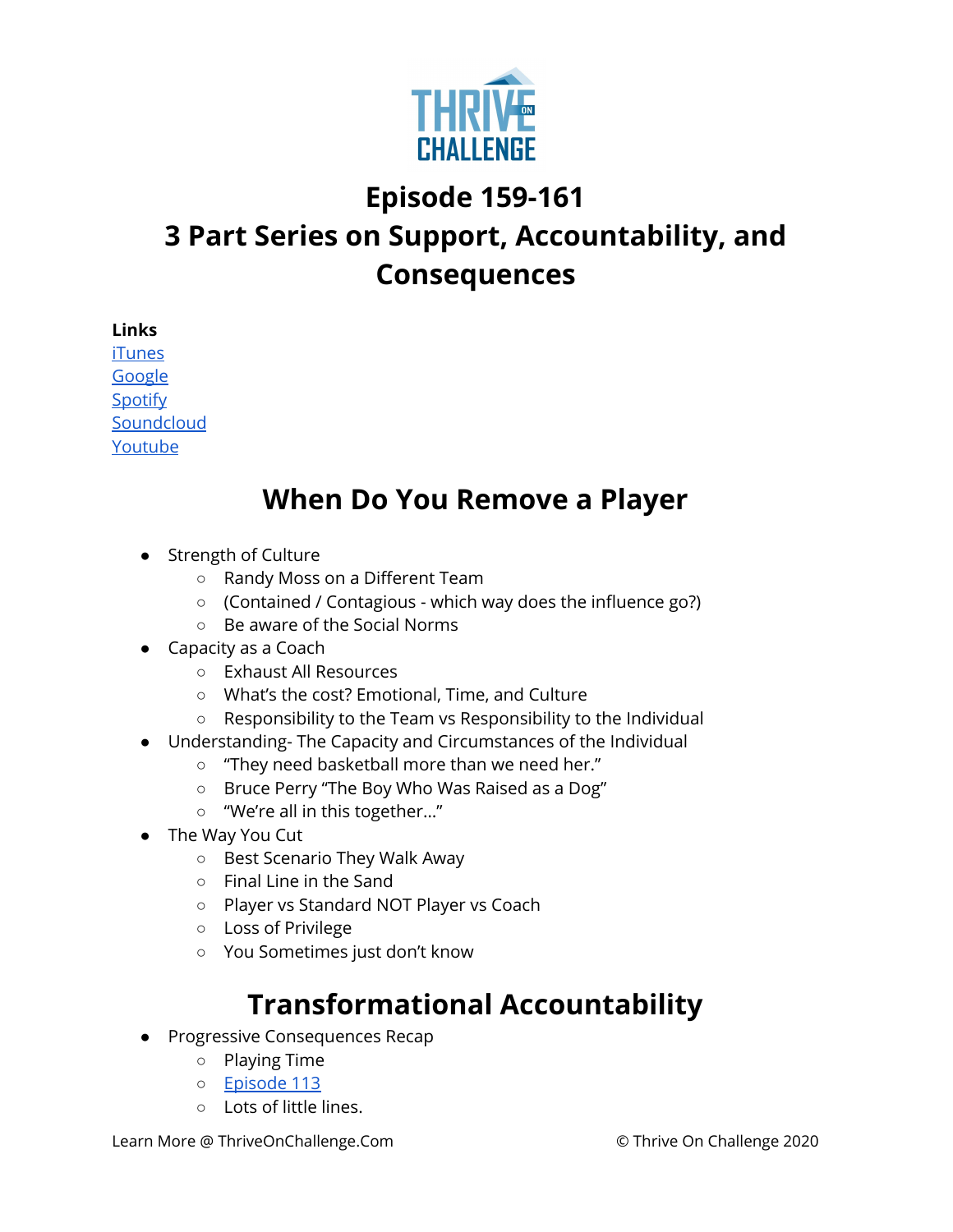

## **Episode 159-161 3 Part Series on Support, Accountability, and Consequences**

**Links**

[iTunes](https://podcasts.apple.com/us/podcast/coaching-culture/id1286560192) [Google](https://podcasts.google.com/feed/aHR0cHM6Ly9mZWVkcy5zb3VuZGNsb3VkLmNvbS91c2Vycy9zb3VuZGNsb3VkOnVzZXJzOjQxMDQyNzcvc291bmRzLnJzcw?ved=2ahUKEwiSpYquy9vqAhVbQUEAHSAkC88Q4aUDegQIARAC) **[Spotify](https://open.spotify.com/show/336Hs8udk8s0yXuK3BzSOq) [Soundcloud](https://soundcloud.com/thriveonchallenge)** [Youtube](https://www.youtube.com/channel/UC3vIljCBzwHcPyVIx9kiHvw)

## **When Do You Remove a Player**

- Strength of Culture
	- Randy Moss on a Different Team
	- (Contained / Contagious which way does the influence go?)
	- Be aware of the Social Norms
- Capacity as a Coach
	- Exhaust All Resources
	- What's the cost? Emotional, Time, and Culture
	- Responsibility to the Team vs Responsibility to the Individual
- Understanding- The Capacity and Circumstances of the Individual
	- "They need basketball more than we need her."
	- Bruce Perry "The Boy Who Was Raised as a Dog"
	- "We're all in this together…"
- The Way You Cut
	- Best Scenario They Walk Away
	- Final Line in the Sand
	- Player vs Standard NOT Player vs Coach
	- Loss of Privilege
	- You Sometimes just don't know

## **Transformational Accountability**

- Progressive Consequences Recap
	- Playing Time
	- [Episode](https://www.podbean.com/media/share/dir-v626e-731eab7?utm_campaign=w_share_ep&utm_medium=dlink&utm_source=w_share) 113
	- Lots of little lines.